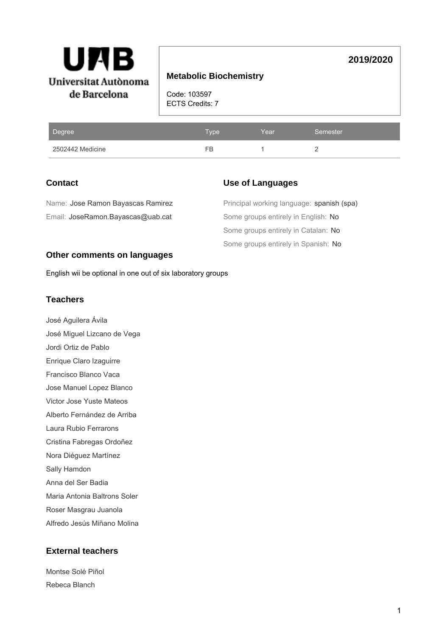

## **Metabolic Biochemistry**

Code: 103597 ECTS Credits: 7

| Degree           | Type' | Year | Semester |
|------------------|-------|------|----------|
| 2502442 Medicine | FB    |      |          |

## **Contact**

## **Use of Languages**

**2019/2020**

| Name: Jose Ramon Bayascas Ramirez | Principal working language: spanish (spa) |
|-----------------------------------|-------------------------------------------|
| Email: JoseRamon.Bayascas@uab.cat | Some groups entirely in English: No       |
|                                   | Some groups entirely in Catalan: No       |
|                                   | Some groups entirely in Spanish: No       |

### **Other comments on languages**

English wii be optional in one out of six laboratory groups

## **Teachers**

- José Aguilera Ávila José Miguel Lizcano de Vega Jordi Ortiz de Pablo Enrique Claro Izaguirre Francisco Blanco Vaca Jose Manuel Lopez Blanco Victor Jose Yuste Mateos Alberto Fernández de Arriba Laura Rubio Ferrarons Cristina Fabregas Ordoñez
- Nora Diéguez Martínez
- Sally Hamdon
- Anna del Ser Badia
- Maria Antonia Baltrons Soler
- Roser Masgrau Juanola
- Alfredo Jesús Miñano Molina

## **External teachers**

| Montse Solé Piñol |
|-------------------|
| Rebeca Blanch     |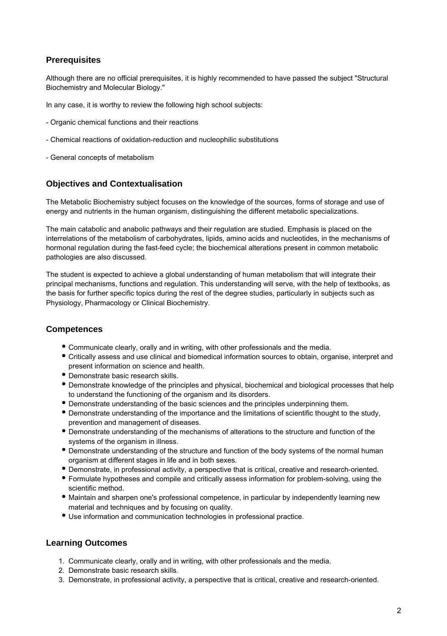## **Prerequisites**

Although there are no official prerequisites, it is highly recommended to have passed the subject "Structural Biochemistry and Molecular Biology."

In any case, it is worthy to review the following high school subjects:

- Organic chemical functions and their reactions
- Chemical reactions of oxidation-reduction and nucleophilic substitutions
- General concepts of metabolism

## **Objectives and Contextualisation**

The Metabolic Biochemistry subject focuses on the knowledge of the sources, forms of storage and use of energy and nutrients in the human organism, distinguishing the different metabolic specializations.

The main catabolic and anabolic pathways and their regulation are studied. Emphasis is placed on the interrelations of the metabolism of carbohydrates, lipids, amino acids and nucleotides, in the mechanisms of hormonal regulation during the fast-feed cycle; the biochemical alterations present in common metabolic pathologies are also discussed.

The student is expected to achieve a global understanding of human metabolism that will integrate their principal mechanisms, functions and regulation. This understanding will serve, with the help of textbooks, as the basis for further specific topics during the rest of the degree studies, particularly in subjects such as Physiology, Pharmacology or Clinical Biochemistry.

### **Competences**

- Communicate clearly, orally and in writing, with other professionals and the media.
- Critically assess and use clinical and biomedical information sources to obtain, organise, interpret and present information on science and health.
- Demonstrate basic research skills.
- Demonstrate knowledge of the principles and physical, biochemical and biological processes that help to understand the functioning of the organism and its disorders.
- Demonstrate understanding of the basic sciences and the principles underpinning them.
- Demonstrate understanding of the importance and the limitations of scientific thought to the study, prevention and management of diseases.
- Demonstrate understanding of the mechanisms of alterations to the structure and function of the systems of the organism in illness.
- Demonstrate understanding of the structure and function of the body systems of the normal human organism at different stages in life and in both sexes.
- Demonstrate, in professional activity, a perspective that is critical, creative and research-oriented.
- Formulate hypotheses and compile and critically assess information for problem-solving, using the scientific method.
- Maintain and sharpen one's professional competence, in particular by independently learning new material and techniques and by focusing on quality.
- Use information and communication technologies in professional practice.

### **Learning Outcomes**

- 1. Communicate clearly, orally and in writing, with other professionals and the media.
- 2. Demonstrate basic research skills.
- 3. Demonstrate, in professional activity, a perspective that is critical, creative and research-oriented.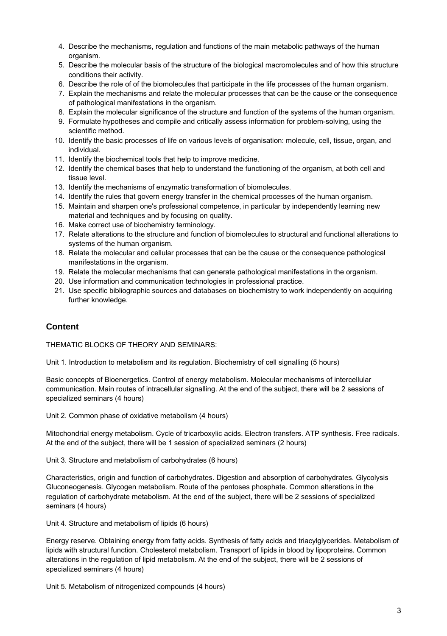- 4. Describe the mechanisms, regulation and functions of the main metabolic pathways of the human organism.
- 5. Describe the molecular basis of the structure of the biological macromolecules and of how this structure conditions their activity.
- 6. Describe the role of of the biomolecules that participate in the life processes of the human organism.
- 7. Explain the mechanisms and relate the molecular processes that can be the cause or the consequence of pathological manifestations in the organism.
- 8. Explain the molecular significance of the structure and function of the systems of the human organism.
- 9. Formulate hypotheses and compile and critically assess information for problem-solving, using the scientific method.
- 10. Identify the basic processes of life on various levels of organisation: molecule, cell, tissue, organ, and individual.
- 11. Identify the biochemical tools that help to improve medicine.
- 12. Identify the chemical bases that help to understand the functioning of the organism, at both cell and tissue level.
- 13. Identify the mechanisms of enzymatic transformation of biomolecules.
- 14. Identify the rules that govern energy transfer in the chemical processes of the human organism.
- 15. Maintain and sharpen one's professional competence, in particular by independently learning new material and techniques and by focusing on quality.
- 16. Make correct use of biochemistry terminology.
- 17. Relate alterations to the structure and function of biomolecules to structural and functional alterations to systems of the human organism.
- 18. Relate the molecular and cellular processes that can be the cause or the consequence pathological manifestations in the organism.
- 19. Relate the molecular mechanisms that can generate pathological manifestations in the organism.
- 20. Use information and communication technologies in professional practice.
- 21. Use specific bibliographic sources and databases on biochemistry to work independently on acquiring further knowledge.

## **Content**

THEMATIC BLOCKS OF THEORY AND SEMINARS:

Unit 1. Introduction to metabolism and its regulation. Biochemistry of cell signalling (5 hours)

Basic concepts of Bioenergetics. Control of energy metabolism. Molecular mechanisms of intercellular communication. Main routes of intracellular signalling. At the end of the subject, there will be 2 sessions of specialized seminars (4 hours)

Unit 2. Common phase of oxidative metabolism (4 hours)

Mitochondrial energy metabolism. Cycle of tricarboxylic acids. Electron transfers. ATP synthesis. Free radicals. At the end of the subject, there will be 1 session of specialized seminars (2 hours)

Unit 3. Structure and metabolism of carbohydrates (6 hours)

Characteristics, origin and function of carbohydrates. Digestion and absorption of carbohydrates. Glycolysis Gluconeogenesis. Glycogen metabolism. Route of the pentoses phosphate. Common alterations in the regulation of carbohydrate metabolism. At the end of the subject, there will be 2 sessions of specialized seminars (4 hours)

Unit 4. Structure and metabolism of lipids (6 hours)

Energy reserve. Obtaining energy from fatty acids. Synthesis of fatty acids and triacylglycerides. Metabolism of lipids with structural function. Cholesterol metabolism. Transport of lipids in blood by lipoproteins. Common alterations in the regulation of lipid metabolism. At the end of the subject, there will be 2 sessions of specialized seminars (4 hours)

Unit 5. Metabolism of nitrogenized compounds (4 hours)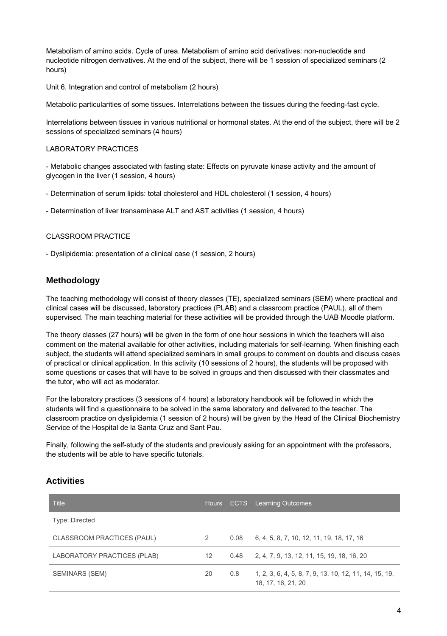Metabolism of amino acids. Cycle of urea. Metabolism of amino acid derivatives: non-nucleotide and nucleotide nitrogen derivatives. At the end of the subject, there will be 1 session of specialized seminars (2 hours)

Unit 6. Integration and control of metabolism (2 hours)

Metabolic particularities of some tissues. Interrelations between the tissues during the feeding-fast cycle.

Interrelations between tissues in various nutritional or hormonal states. At the end of the subject, there will be 2 sessions of specialized seminars (4 hours)

#### LABORATORY PRACTICES

- Metabolic changes associated with fasting state: Effects on pyruvate kinase activity and the amount of glycogen in the liver (1 session, 4 hours)

- Determination of serum lipids: total cholesterol and HDL cholesterol (1 session, 4 hours)

- Determination of liver transaminase ALT and AST activities (1 session, 4 hours)

#### CLASSROOM PRACTICF

- Dyslipidemia: presentation of a clinical case (1 session, 2 hours)

### **Methodology**

The teaching methodology will consist of theory classes (TE), specialized seminars (SEM) where practical and clinical cases will be discussed, laboratory practices (PLAB) and a classroom practice (PAUL), all of them supervised. The main teaching material for these activities will be provided through the UAB Moodle platform.

The theory classes (27 hours) will be given in the form of one hour sessions in which the teachers will also comment on the material available for other activities, including materials for self-learning. When finishing each subject, the students will attend specialized seminars in small groups to comment on doubts and discuss cases of practical or clinical application. In this activity (10 sessions of 2 hours), the students will be proposed with some questions or cases that will have to be solved in groups and then discussed with their classmates and the tutor, who will act as moderator.

For the laboratory practices (3 sessions of 4 hours) a laboratory handbook will be followed in which the students will find a questionnaire to be solved in the same laboratory and delivered to the teacher. The classroom practice on dyslipidemia (1 session of 2 hours) will be given by the Head of the Clinical Biochemistry Service of the Hospital de la Santa Cruz and Sant Pau.

Finally, following the self-study of the students and previously asking for an appointment with the professors, the students will be able to have specific tutorials.

### **Activities**

| Title                       |    |      | Hours ECTS Learning Outcomes                                                 |  |  |  |
|-----------------------------|----|------|------------------------------------------------------------------------------|--|--|--|
| Type: Directed              |    |      |                                                                              |  |  |  |
| CLASSROOM PRACTICES (PAUL)  | 2  | 0.08 | 6, 4, 5, 8, 7, 10, 12, 11, 19, 18, 17, 16                                    |  |  |  |
| LABORATORY PRACTICES (PLAB) | 12 | 0.48 | 2, 4, 7, 9, 13, 12, 11, 15, 19, 18, 16, 20                                   |  |  |  |
| SEMINARS (SEM)              | 20 | 0.8  | 1, 2, 3, 6, 4, 5, 8, 7, 9, 13, 10, 12, 11, 14, 15, 19,<br>18, 17, 16, 21, 20 |  |  |  |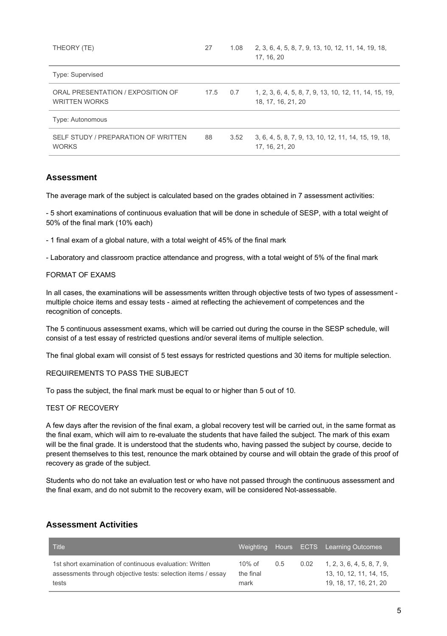| THEORY (TE)                                               | 27   | 1.08 | 2, 3, 6, 4, 5, 8, 7, 9, 13, 10, 12, 11, 14, 19, 18,<br>17, 16, 20            |
|-----------------------------------------------------------|------|------|------------------------------------------------------------------------------|
| Type: Supervised                                          |      |      |                                                                              |
| ORAL PRESENTATION / EXPOSITION OF<br><b>WRITTEN WORKS</b> | 17.5 | 0.7  | 1, 2, 3, 6, 4, 5, 8, 7, 9, 13, 10, 12, 11, 14, 15, 19,<br>18, 17, 16, 21, 20 |
| Type: Autonomous                                          |      |      |                                                                              |
| SELF STUDY / PREPARATION OF WRITTEN<br><b>WORKS</b>       | 88   | 3.52 | 3, 6, 4, 5, 8, 7, 9, 13, 10, 12, 11, 14, 15, 19, 18,<br>17. 16. 21. 20       |

### **Assessment**

The average mark of the subject is calculated based on the grades obtained in 7 assessment activities:

- 5 short examinations of continuous evaluation that will be done in schedule of SESP, with a total weight of 50% of the final mark (10% each)

- 1 final exam of a global nature, with a total weight of 45% of the final mark

- Laboratory and classroom practice attendance and progress, with a total weight of 5% of the final mark

#### FORMAT OF EXAMS

In all cases, the examinations will be assessments written through objective tests of two types of assessment multiple choice items and essay tests - aimed at reflecting the achievement of competences and the recognition of concepts.

The 5 continuous assessment exams, which will be carried out during the course in the SESP schedule, will consist of a test essay of restricted questions and/or several items of multiple selection.

The final global exam will consist of 5 test essays for restricted questions and 30 items for multiple selection.

#### REQUIREMENTS TO PASS THE SUBJECT

To pass the subject, the final mark must be equal to or higher than 5 out of 10.

#### TEST OF RECOVERY

A few days after the revision of the final exam, a global recovery test will be carried out, in the same format as the final exam, which will aim to re-evaluate the students that have failed the subject. The mark of this exam will be the final grade. It is understood that the students who, having passed the subject by course, decide to present themselves to this test, renounce the mark obtained by course and will obtain the grade of this proof of recovery as grade of the subject.

Students who do not take an evaluation test or who have not passed through the continuous assessment and the final exam, and do not submit to the recovery exam, will be considered Not-assessable.

### **Assessment Activities**

| Title                                                                                                                            | Weighting                      |               |      | Hours ECTS Learning Outcomes                                                    |
|----------------------------------------------------------------------------------------------------------------------------------|--------------------------------|---------------|------|---------------------------------------------------------------------------------|
| 1st short examination of continuous evaluation: Written<br>assessments through objective tests: selection items / essay<br>tests | $10\%$ of<br>the final<br>mark | $0.5^{\circ}$ | 0.02 | 1, 2, 3, 6, 4, 5, 8, 7, 9.<br>13, 10, 12, 11, 14, 15,<br>19. 18. 17. 16. 21. 20 |